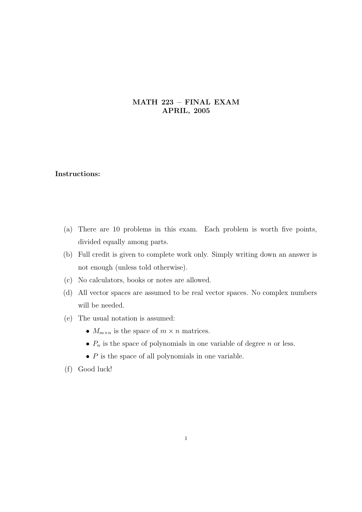## MATH 223 – FINAL EXAM APRIL, 2005

## Instructions:

- (a) There are 10 problems in this exam. Each problem is worth five points, divided equally among parts.
- (b) Full credit is given to complete work only. Simply writing down an answer is not enough (unless told otherwise).
- (c) No calculators, books or notes are allowed.
- (d) All vector spaces are assumed to be real vector spaces. No complex numbers will be needed.
- (e) The usual notation is assumed:
	- $M_{m \times n}$  is the space of  $m \times n$  matrices.
	- $P_n$  is the space of polynomials in one variable of degree n or less.
	- $\bullet$  P is the space of all polynomials in one variable.
- (f) Good luck!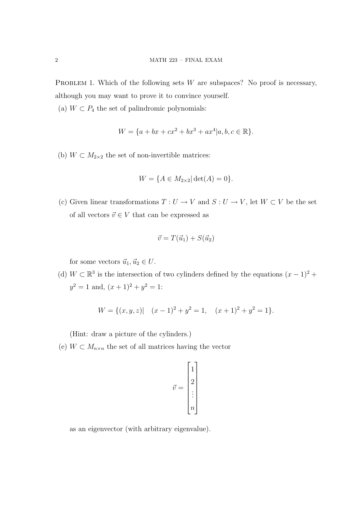PROBLEM 1. Which of the following sets  $W$  are subspaces? No proof is necessary, although you may want to prove it to convince yourself.

(a)  $W \subset P_4$  the set of palindromic polynomials:

$$
W = \{a + bx + cx^{2} + bx^{3} + ax^{4}|a, b, c \in \mathbb{R}\}.
$$

(b)  $W \subset M_{2\times 2}$  the set of non-invertible matrices:

$$
W = \{ A \in M_{2 \times 2} | \det(A) = 0 \}.
$$

(c) Given linear transformations  $T: U \to V$  and  $S: U \to V$ , let  $W \subset V$  be the set of all vectors  $\vec{v} \in V$  that can be expressed as

$$
\vec{v} = T(\vec{u}_1) + S(\vec{u}_2)
$$

for some vectors  $\vec{u}_1, \vec{u}_2 \in U$ .

(d)  $W \subset \mathbb{R}^3$  is the intersection of two cylinders defined by the equations  $(x-1)^2$  +  $y^2 = 1$  and,  $(x+1)^2 + y^2 = 1$ :

$$
W = \{(x, y, z) | (x - 1)^2 + y^2 = 1, (x + 1)^2 + y^2 = 1\}.
$$

(Hint: draw a picture of the cylinders.)

(e)  $W \subset M_{n \times n}$  the set of all matrices having the vector

$$
\vec{v} = \begin{bmatrix} 1 \\ 2 \\ \vdots \\ n \end{bmatrix}
$$

as an eigenvector (with arbitrary eigenvalue).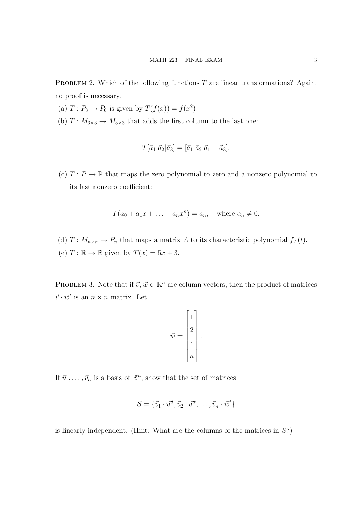PROBLEM 2. Which of the following functions  $T$  are linear transformations? Again, no proof is necessary.

- (a)  $T: P_3 \to P_6$  is given by  $T(f(x)) = f(x^2)$ .
- (b)  $T: M_{3\times3} \to M_{3\times3}$  that adds the first column to the last one:

$$
T[\vec{a}_1|\vec{a}_2|\vec{a}_3] = [\vec{a}_1|\vec{a}_2|\vec{a}_1 + \vec{a}_3].
$$

(c)  $T: P \to \mathbb{R}$  that maps the zero polynomial to zero and a nonzero polynomial to its last nonzero coefficient:

$$
T(a_0 + a_1x + \dots + a_nx^n) = a_n, \text{ where } a_n \neq 0.
$$

(d)  $T: M_{n \times n} \to P_n$  that maps a matrix A to its characteristic polynomial  $f_A(t)$ . (e)  $T : \mathbb{R} \to \mathbb{R}$  given by  $T(x) = 5x + 3$ .

PROBLEM 3. Note that if  $\vec{v}, \vec{w} \in \mathbb{R}^n$  are column vectors, then the product of matrices  $\vec{v} \cdot \vec{w}^t$  is an  $n \times n$  matrix. Let

$$
\vec{w} = \begin{bmatrix} 1 \\ 2 \\ \vdots \\ n \end{bmatrix}.
$$

If  $\vec{v}_1, \ldots, \vec{v}_n$  is a basis of  $\mathbb{R}^n$ , show that the set of matrices

$$
S = \{\vec{v}_1 \cdot \vec{w}^t, \vec{v}_2 \cdot \vec{w}^t, \dots, \vec{v}_n \cdot \vec{w}^t\}
$$

is linearly independent. (Hint: What are the columns of the matrices in S?)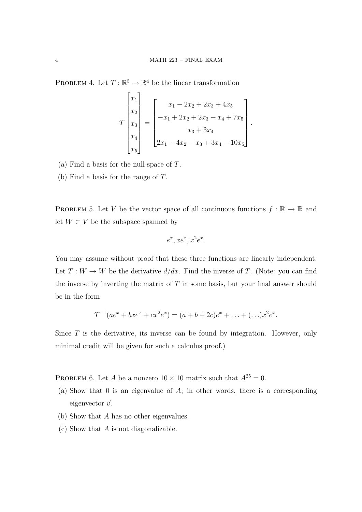PROBLEM 4. Let  $T : \mathbb{R}^5 \to \mathbb{R}^4$  be the linear transformation

$$
T\begin{bmatrix} x_1 \\ x_2 \\ x_3 \\ x_4 \\ x_5 \end{bmatrix} = \begin{bmatrix} x_1 - 2x_2 + 2x_3 + 4x_5 \\ -x_1 + 2x_2 + 2x_3 + x_4 + 7x_5 \\ x_3 + 3x_4 \\ 2x_1 - 4x_2 - x_3 + 3x_4 - 10x_5 \end{bmatrix}.
$$

- (a) Find a basis for the null-space of  $T$ .
- (b) Find a basis for the range of T.

PROBLEM 5. Let V be the vector space of all continuous functions  $f : \mathbb{R} \to \mathbb{R}$  and let  $W \subset V$  be the subspace spanned by

$$
e^x, xe^x, x^2e^x.
$$

You may assume without proof that these three functions are linearly independent. Let  $T: W \to W$  be the derivative  $d/dx$ . Find the inverse of T. (Note: you can find the inverse by inverting the matrix of  $T$  in some basis, but your final answer should be in the form

$$
T^{-1}(ae^x + bxe^x + cx^2e^x) = (a+b+2c)e^x + \ldots + (\ldots)x^2e^x.
$$

Since  $T$  is the derivative, its inverse can be found by integration. However, only minimal credit will be given for such a calculus proof.)

PROBLEM 6. Let A be a nonzero  $10 \times 10$  matrix such that  $A^{25} = 0$ .

- (a) Show that 0 is an eigenvalue of  $A$ ; in other words, there is a corresponding eigenvector  $\vec{v}$ .
- (b) Show that A has no other eigenvalues.
- (c) Show that A is not diagonalizable.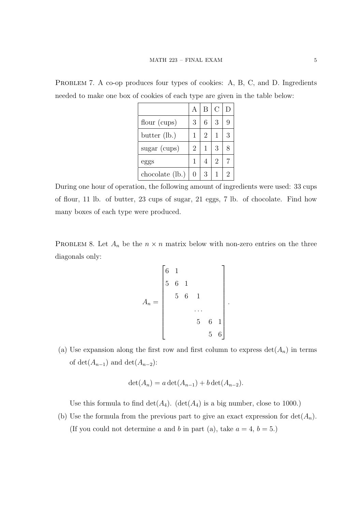|                 |                | B              | $\overline{C}$ |   |
|-----------------|----------------|----------------|----------------|---|
| flour (cups)    | 3              | 6              | 3              |   |
| butter (lb.)    | 1              | $\overline{2}$ | 1              | 3 |
| $sugar$ (cups)  | $\overline{2}$ |                | 3              |   |
| eggs            | $\mathbf{1}$   | $\overline{4}$ | 2              |   |
| chocolate (lb.) | 0              | 3              |                | 2 |

PROBLEM 7. A co-op produces four types of cookies: A, B, C, and D. Ingredients needed to make one box of cookies of each type are given in the table below:

During one hour of operation, the following amount of ingredients were used: 33 cups of flour, 11 lb. of butter, 23 cups of sugar, 21 eggs, 7 lb. of chocolate. Find how many boxes of each type were produced.

PROBLEM 8. Let  $A_n$  be the  $n \times n$  matrix below with non-zero entries on the three diagonals only:

$$
A_n = \begin{bmatrix} 6 & 1 & & & & \\ 5 & 6 & 1 & & & \\ & & 5 & 6 & 1 & & \\ & & & & \dots & & \\ & & & & 5 & 6 & 1 \\ & & & & & 5 & 6 \end{bmatrix}
$$

.

(a) Use expansion along the first row and first column to express  $\det(A_n)$  in terms of  $\det(A_{n-1})$  and  $\det(A_{n-2})$ :

$$
\det(A_n) = a \det(A_{n-1}) + b \det(A_{n-2}).
$$

Use this formula to find  $\det(A_4)$ .  $(\det(A_4))$  is a big number, close to 1000.)

(b) Use the formula from the previous part to give an exact expression for  $det(A_n)$ . (If you could not determine a and b in part (a), take  $a = 4, b = 5$ .)